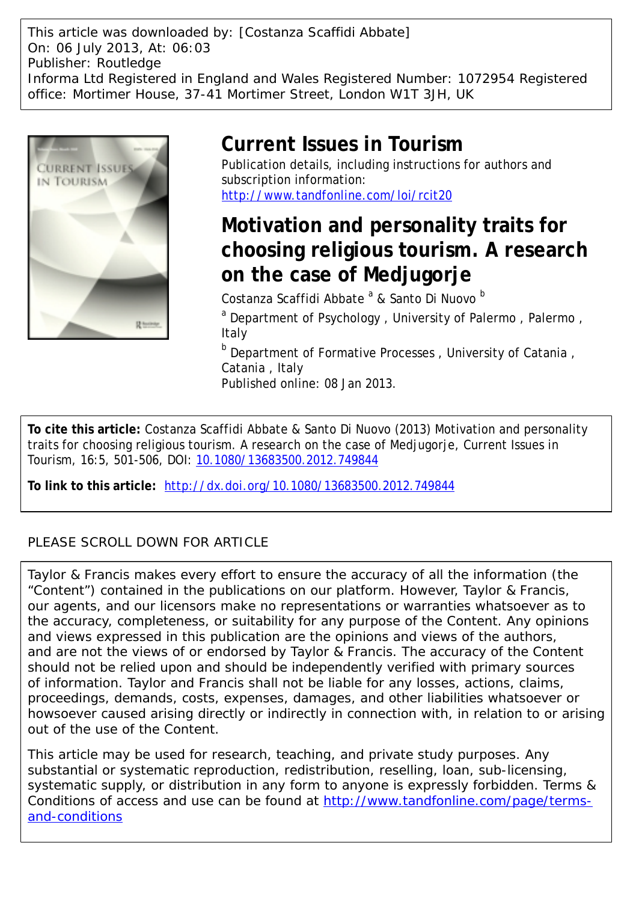This article was downloaded by: [Costanza Scaffidi Abbate] On: 06 July 2013, At: 06:03 Publisher: Routledge Informa Ltd Registered in England and Wales Registered Number: 1072954 Registered office: Mortimer House, 37-41 Mortimer Street, London W1T 3JH, UK



## **Current Issues in Tourism**

Publication details, including instructions for authors and subscription information: <http://www.tandfonline.com/loi/rcit20>

# **Motivation and personality traits for choosing religious tourism. A research on the case of Medjugorje**

Costanza Scaffidi Abbate<sup>a</sup> & Santo Di Nuovo <sup>b</sup>

<sup>a</sup> Department of Psychology, University of Palermo, Palermo, Italy

<sup>b</sup> Department of Formative Processes, University of Catania, Catania , Italy

Published online: 08 Jan 2013.

**To cite this article:** Costanza Scaffidi Abbate & Santo Di Nuovo (2013) Motivation and personality traits for choosing religious tourism. A research on the case of Medjugorje, Current Issues in Tourism, 16:5, 501-506, DOI: [10.1080/13683500.2012.749844](http://www.tandfonline.com/action/showCitFormats?doi=10.1080/13683500.2012.749844)

**To link to this article:** <http://dx.doi.org/10.1080/13683500.2012.749844>

## PLEASE SCROLL DOWN FOR ARTICLE

Taylor & Francis makes every effort to ensure the accuracy of all the information (the "Content") contained in the publications on our platform. However, Taylor & Francis, our agents, and our licensors make no representations or warranties whatsoever as to the accuracy, completeness, or suitability for any purpose of the Content. Any opinions and views expressed in this publication are the opinions and views of the authors, and are not the views of or endorsed by Taylor & Francis. The accuracy of the Content should not be relied upon and should be independently verified with primary sources of information. Taylor and Francis shall not be liable for any losses, actions, claims, proceedings, demands, costs, expenses, damages, and other liabilities whatsoever or howsoever caused arising directly or indirectly in connection with, in relation to or arising out of the use of the Content.

This article may be used for research, teaching, and private study purposes. Any substantial or systematic reproduction, redistribution, reselling, loan, sub-licensing, systematic supply, or distribution in any form to anyone is expressly forbidden. Terms & Conditions of access and use can be found at [http://www.tandfonline.com/page/terms](http://www.tandfonline.com/page/terms-and-conditions)[and-conditions](http://www.tandfonline.com/page/terms-and-conditions)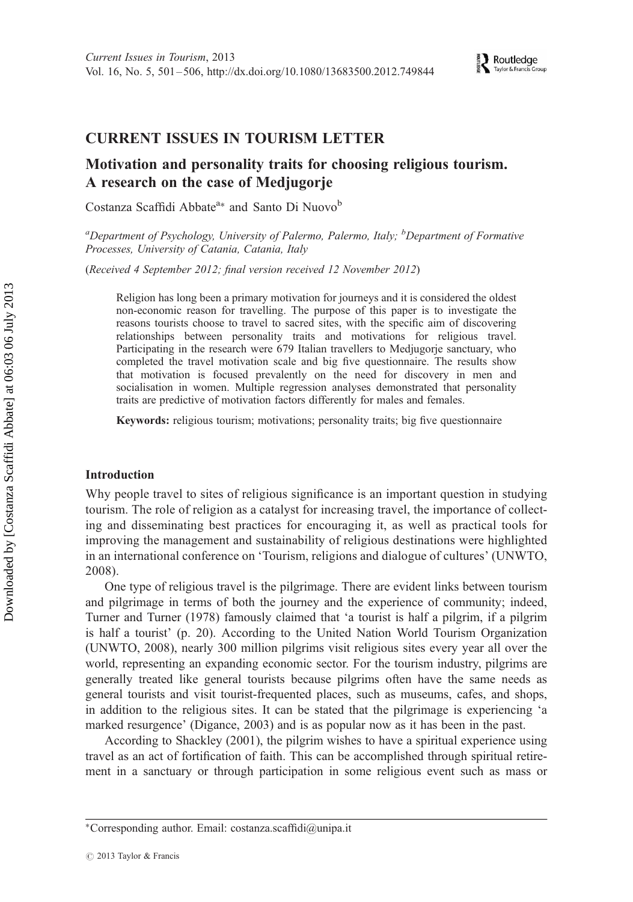### CURRENT ISSUES IN TOURISM LETTER

### Motivation and personality traits for choosing religious tourism. A research on the case of Medjugorje

Costanza Scaffidi Abbate<sup>a∗</sup> and Santo Di Nuovo<sup>b</sup>

<sup>a</sup>Department of Psychology, University of Palermo, Palermo, Italy; <sup>b</sup>Department of Formative Processes, University of Catania, Catania, Italy

(Received 4 September 2012; final version received 12 November 2012)

Religion has long been a primary motivation for journeys and it is considered the oldest non-economic reason for travelling. The purpose of this paper is to investigate the reasons tourists choose to travel to sacred sites, with the specific aim of discovering relationships between personality traits and motivations for religious travel. Participating in the research were 679 Italian travellers to Medjugorje sanctuary, who completed the travel motivation scale and big five questionnaire. The results show that motivation is focused prevalently on the need for discovery in men and socialisation in women. Multiple regression analyses demonstrated that personality traits are predictive of motivation factors differently for males and females.

Keywords: religious tourism; motivations; personality traits; big five questionnaire

#### Introduction

Why people travel to sites of religious significance is an important question in studying tourism. The role of religion as a catalyst for increasing travel, the importance of collecting and disseminating best practices for encouraging it, as well as practical tools for improving the management and sustainability of religious destinations were highlighted in an international conference on 'Tourism, religions and dialogue of cultures' (UNWTO, 2008).

One type of religious travel is the pilgrimage. There are evident links between tourism and pilgrimage in terms of both the journey and the experience of community; indeed, Turner and Turner (1978) famously claimed that 'a tourist is half a pilgrim, if a pilgrim is half a tourist' (p. 20). According to the United Nation World Tourism Organization (UNWTO, 2008), nearly 300 million pilgrims visit religious sites every year all over the world, representing an expanding economic sector. For the tourism industry, pilgrims are generally treated like general tourists because pilgrims often have the same needs as general tourists and visit tourist-frequented places, such as museums, cafes, and shops, in addition to the religious sites. It can be stated that the pilgrimage is experiencing 'a marked resurgence' (Digance, 2003) and is as popular now as it has been in the past.

According to Shackley (2001), the pilgrim wishes to have a spiritual experience using travel as an act of fortification of faith. This can be accomplished through spiritual retirement in a sanctuary or through participation in some religious event such as mass or

<sup>∗</sup>Corresponding author. Email: costanza.scaffidi@unipa.it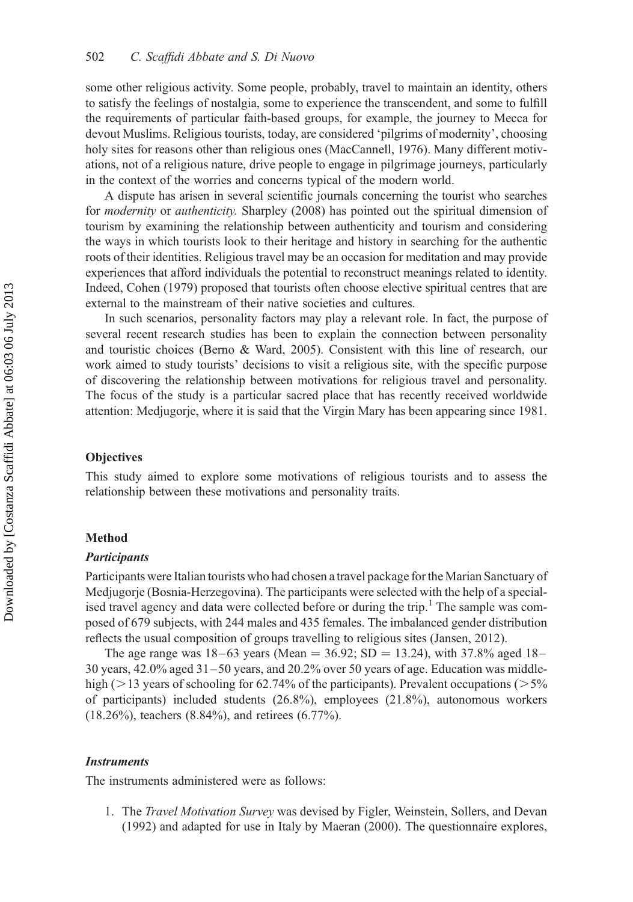some other religious activity. Some people, probably, travel to maintain an identity, others to satisfy the feelings of nostalgia, some to experience the transcendent, and some to fulfill the requirements of particular faith-based groups, for example, the journey to Mecca for devout Muslims. Religious tourists, today, are considered 'pilgrims of modernity', choosing holy sites for reasons other than religious ones (MacCannell, 1976). Many different motivations, not of a religious nature, drive people to engage in pilgrimage journeys, particularly in the context of the worries and concerns typical of the modern world.

A dispute has arisen in several scientific journals concerning the tourist who searches for modernity or authenticity. Sharpley (2008) has pointed out the spiritual dimension of tourism by examining the relationship between authenticity and tourism and considering the ways in which tourists look to their heritage and history in searching for the authentic roots of their identities. Religious travel may be an occasion for meditation and may provide experiences that afford individuals the potential to reconstruct meanings related to identity. Indeed, Cohen (1979) proposed that tourists often choose elective spiritual centres that are external to the mainstream of their native societies and cultures.

In such scenarios, personality factors may play a relevant role. In fact, the purpose of several recent research studies has been to explain the connection between personality and touristic choices (Berno & Ward, 2005). Consistent with this line of research, our work aimed to study tourists' decisions to visit a religious site, with the specific purpose of discovering the relationship between motivations for religious travel and personality. The focus of the study is a particular sacred place that has recently received worldwide attention: Medjugorje, where it is said that the Virgin Mary has been appearing since 1981.

#### **Objectives**

This study aimed to explore some motivations of religious tourists and to assess the relationship between these motivations and personality traits.

#### Method

#### **Participants**

Participants were Italian tourists who had chosen a travel package for the Marian Sanctuary of Medjugorje (Bosnia-Herzegovina). The participants were selected with the help of a specialised travel agency and data were collected before or during the trip.<sup>1</sup> The sample was composed of 679 subjects, with 244 males and 435 females. The imbalanced gender distribution reflects the usual composition of groups travelling to religious sites (Jansen, 2012).

The age range was  $18-63$  years (Mean = 36.92; SD = 13.24), with 37.8% aged 18– 30 years,  $42.0\%$  aged  $31-50$  years, and  $20.2\%$  over 50 years of age. Education was middlehigh ( $>$ 13 years of schooling for 62.74% of the participants). Prevalent occupations ( $>$ 5% of participants) included students (26.8%), employees (21.8%), autonomous workers (18.26%), teachers (8.84%), and retirees (6.77%).

#### **Instruments**

The instruments administered were as follows:

1. The *Travel Motivation Survey* was devised by Figler, Weinstein, Sollers, and Devan (1992) and adapted for use in Italy by Maeran (2000). The questionnaire explores,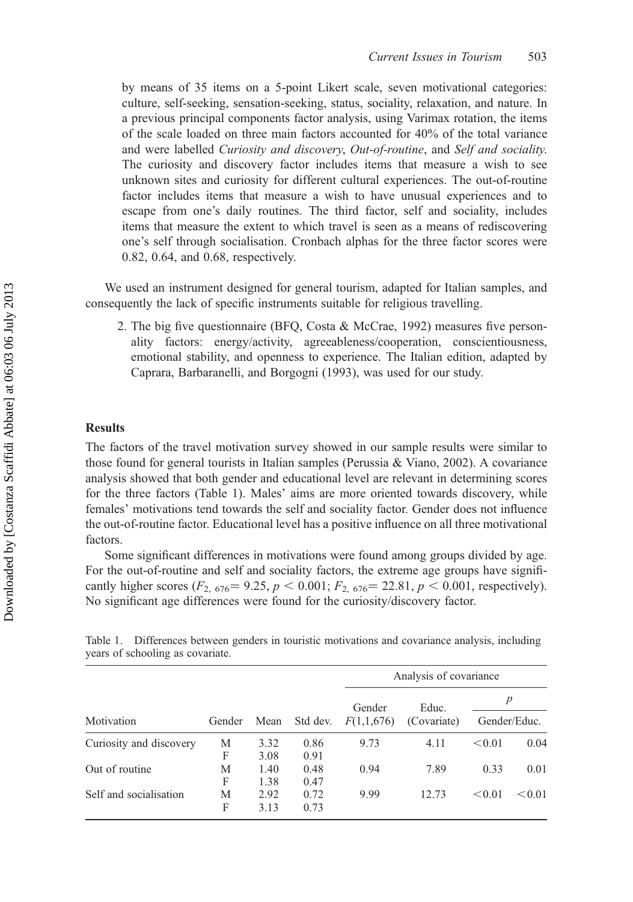by means of 35 items on a 5-point Likert scale, seven motivational categories: culture, self-seeking, sensation-seeking, status, sociality, relaxation, and nature. In a previous principal components factor analysis, using Varimax rotation, the items of the scale loaded on three main factors accounted for 40% of the total variance and were labelled Curiosity and discovery, Out-of-routine, and Self and sociality. The curiosity and discovery factor includes items that measure a wish to see unknown sites and curiosity for different cultural experiences. The out-of-routine factor includes items that measure a wish to have unusual experiences and to escape from one's daily routines. The third factor, self and sociality, includes items that measure the extent to which travel is seen as a means of rediscovering one's self through socialisation. Cronbach alphas for the three factor scores were 0.82, 0.64, and 0.68, respectively.

We used an instrument designed for general tourism, adapted for Italian samples, and consequently the lack of specific instruments suitable for religious travelling.

2. The big five questionnaire (BFQ, Costa & McCrae, 1992) measures five personality factors: energy/activity, agreeableness/cooperation, conscientiousness, emotional stability, and openness to experience. The Italian edition, adapted by Caprara, Barbaranelli, and Borgogni (1993), was used for our study.

#### Results

The factors of the travel motivation survey showed in our sample results were similar to those found for general tourists in Italian samples (Perussia & Viano, 2002). A covariance analysis showed that both gender and educational level are relevant in determining scores for the three factors (Table 1). Males' aims are more oriented towards discovery, while females' motivations tend towards the self and sociality factor. Gender does not influence the out-of-routine factor. Educational level has a positive influence on all three motivational factors.

Some significant differences in motivations were found among groups divided by age. For the out-of-routine and self and sociality factors, the extreme age groups have significantly higher scores  $(F_{2, 676} = 9.25, p < 0.001; F_{2, 676} = 22.81, p < 0.001$ , respectively). No significant age differences were found for the curiosity/discovery factor.

| Motivation              | Gender | Mean         | Std dev.     | Analysis of covariance |                      |              |        |
|-------------------------|--------|--------------|--------------|------------------------|----------------------|--------------|--------|
|                         |        |              |              | Gender<br>F(1,1,676)   | Educ.<br>(Covariate) | p            |        |
|                         |        |              |              |                        |                      | Gender/Educ. |        |
| Curiosity and discovery | М<br>F | 3.32<br>3.08 | 0.86<br>0.91 | 9.73                   | 4.11                 | < 0.01       | 0.04   |
| Out of routine          | М<br>F | 1.40<br>1.38 | 0.48<br>0.47 | 0.94                   | 7.89                 | 0.33         | 0.01   |
| Self and socialisation  | М<br>F | 2.92<br>3.13 | 0.72<br>0.73 | 9.99                   | 12.73                | < 0.01       | < 0.01 |

Table 1. Differences between genders in touristic motivations and covariance analysis, including years of schooling as covariate.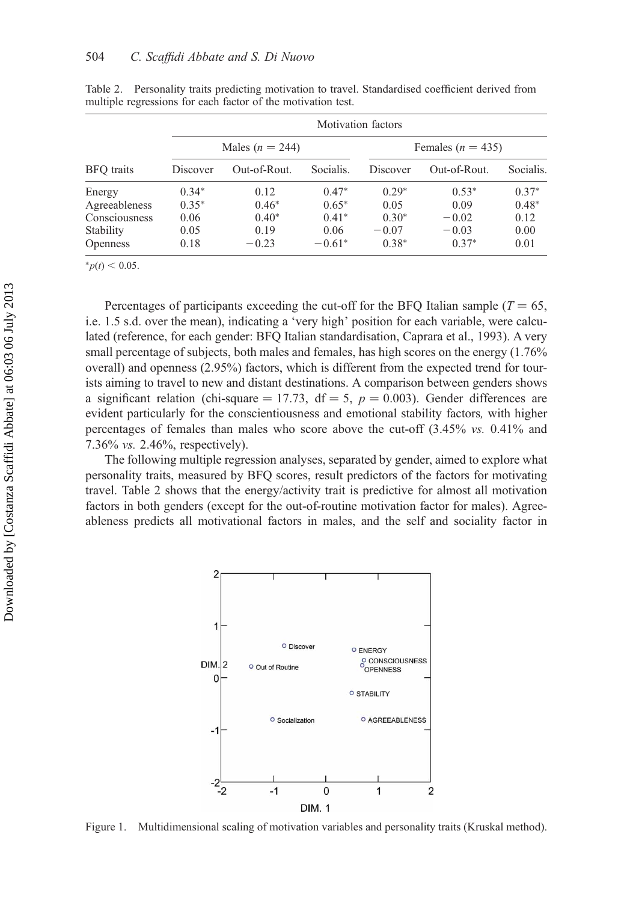| <b>BFO</b> traits | <b>Motivation</b> factors |                     |           |                       |              |           |  |  |  |  |
|-------------------|---------------------------|---------------------|-----------|-----------------------|--------------|-----------|--|--|--|--|
|                   |                           | Males ( $n = 244$ ) |           | Females ( $n = 435$ ) |              |           |  |  |  |  |
|                   | Discover                  | Out-of-Rout.        | Socialis. | Discover              | Out-of-Rout. | Socialis. |  |  |  |  |
| Energy            | $0.34*$                   | 0.12                | $0.47*$   | $0.29*$               | $0.53*$      | $0.37*$   |  |  |  |  |
| Agreeableness     | $0.35*$                   | $0.46*$             | $0.65*$   | 0.05                  | 0.09         | $0.48*$   |  |  |  |  |
| Consciousness     | 0.06                      | $0.40*$             | $0.41*$   | $0.30*$               | $-0.02$      | 0.12      |  |  |  |  |
| Stability         | 0.05                      | 0.19                | 0.06      | $-0.07$               | $-0.03$      | 0.00      |  |  |  |  |
| <b>Openness</b>   | 0.18                      | $-0.23$             | $-0.61*$  | $0.38*$               | $0.37*$      | 0.01      |  |  |  |  |

Table 2. Personality traits predicting motivation to travel. Standardised coefficient derived from multiple regressions for each factor of the motivation test.

 $<sub>∗p(t)</sub> < 0.05.$ </sub>

Percentages of participants exceeding the cut-off for the BFO Italian sample ( $T = 65$ , i.e. 1.5 s.d. over the mean), indicating a 'very high' position for each variable, were calculated (reference, for each gender: BFQ Italian standardisation, Caprara et al., 1993). A very small percentage of subjects, both males and females, has high scores on the energy (1.76% overall) and openness (2.95%) factors, which is different from the expected trend for tourists aiming to travel to new and distant destinations. A comparison between genders shows a significant relation (chi-square = 17.73, df = 5,  $p = 0.003$ ). Gender differences are evident particularly for the conscientiousness and emotional stability factors, with higher percentages of females than males who score above the cut-off (3.45% vs. 0.41% and 7.36% vs. 2.46%, respectively).

The following multiple regression analyses, separated by gender, aimed to explore what personality traits, measured by BFQ scores, result predictors of the factors for motivating travel. Table 2 shows that the energy/activity trait is predictive for almost all motivation factors in both genders (except for the out-of-routine motivation factor for males). Agreeableness predicts all motivational factors in males, and the self and sociality factor in



Figure 1. Multidimensional scaling of motivation variables and personality traits (Kruskal method).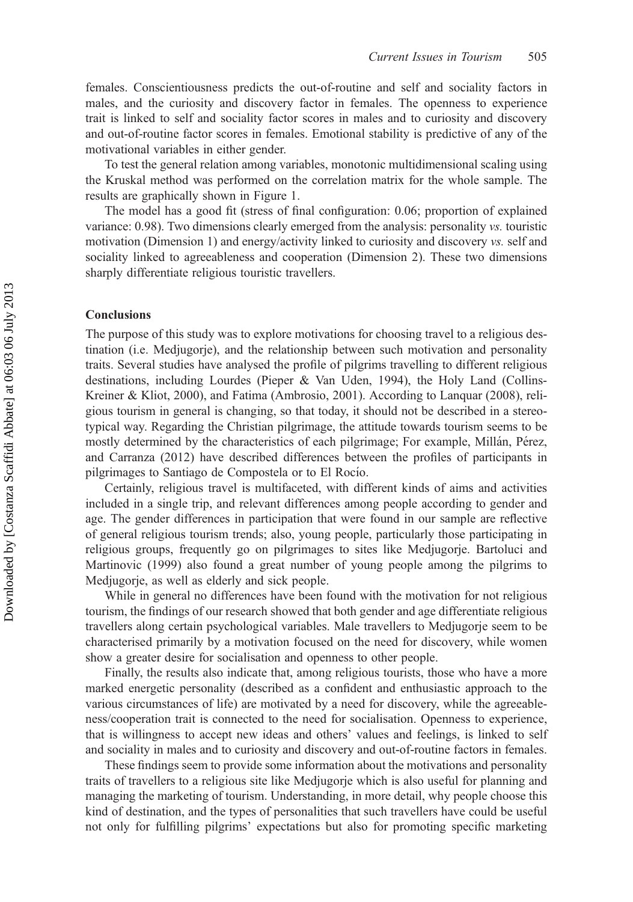females. Conscientiousness predicts the out-of-routine and self and sociality factors in males, and the curiosity and discovery factor in females. The openness to experience trait is linked to self and sociality factor scores in males and to curiosity and discovery and out-of-routine factor scores in females. Emotional stability is predictive of any of the motivational variables in either gender.

To test the general relation among variables, monotonic multidimensional scaling using the Kruskal method was performed on the correlation matrix for the whole sample. The results are graphically shown in Figure 1.

The model has a good fit (stress of final configuration: 0.06; proportion of explained variance: 0.98). Two dimensions clearly emerged from the analysis: personality vs. touristic motivation (Dimension 1) and energy/activity linked to curiosity and discovery vs. self and sociality linked to agreeableness and cooperation (Dimension 2). These two dimensions sharply differentiate religious touristic travellers.

#### Conclusions

The purpose of this study was to explore motivations for choosing travel to a religious destination (i.e. Medjugorje), and the relationship between such motivation and personality traits. Several studies have analysed the profile of pilgrims travelling to different religious destinations, including Lourdes (Pieper & Van Uden, 1994), the Holy Land (Collins-Kreiner & Kliot, 2000), and Fatima (Ambrosio, 2001). According to Lanquar (2008), religious tourism in general is changing, so that today, it should not be described in a stereotypical way. Regarding the Christian pilgrimage, the attitude towards tourism seems to be mostly determined by the characteristics of each pilgrimage; For example, Millán, Pérez, and Carranza (2012) have described differences between the profiles of participants in pilgrimages to Santiago de Compostela or to El Rocío.

Certainly, religious travel is multifaceted, with different kinds of aims and activities included in a single trip, and relevant differences among people according to gender and age. The gender differences in participation that were found in our sample are reflective of general religious tourism trends; also, young people, particularly those participating in religious groups, frequently go on pilgrimages to sites like Medjugorje. Bartoluci and Martinovic (1999) also found a great number of young people among the pilgrims to Medjugorje, as well as elderly and sick people.

While in general no differences have been found with the motivation for not religious tourism, the findings of our research showed that both gender and age differentiate religious travellers along certain psychological variables. Male travellers to Medjugorje seem to be characterised primarily by a motivation focused on the need for discovery, while women show a greater desire for socialisation and openness to other people.

Finally, the results also indicate that, among religious tourists, those who have a more marked energetic personality (described as a confident and enthusiastic approach to the various circumstances of life) are motivated by a need for discovery, while the agreeableness/cooperation trait is connected to the need for socialisation. Openness to experience, that is willingness to accept new ideas and others' values and feelings, is linked to self and sociality in males and to curiosity and discovery and out-of-routine factors in females.

These findings seem to provide some information about the motivations and personality traits of travellers to a religious site like Medjugorje which is also useful for planning and managing the marketing of tourism. Understanding, in more detail, why people choose this kind of destination, and the types of personalities that such travellers have could be useful not only for fulfilling pilgrims' expectations but also for promoting specific marketing